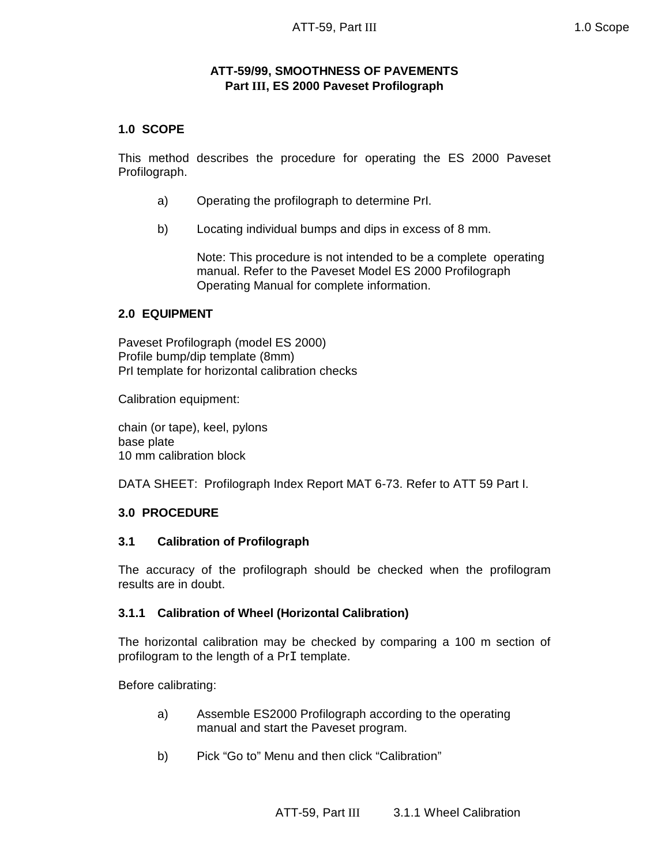## **ATT-59/99, SMOOTHNESS OF PAVEMENTS Part III, ES 2000 Paveset Profilograph**

# **1.0 SCOPE**

This method describes the procedure for operating the ES 2000 Paveset Profilograph.

- a) Operating the profilograph to determine PrI.
- b) Locating individual bumps and dips in excess of 8 mm.

Note: This procedure is not intended to be a complete operating manual. Refer to the Paveset Model ES 2000 Profilograph Operating Manual for complete information.

### **2.0 EQUIPMENT**

Paveset Profilograph (model ES 2000) Profile bump/dip template (8mm) PrI template for horizontal calibration checks

Calibration equipment:

chain (or tape), keel, pylons base plate 10 mm calibration block

DATA SHEET: Profilograph Index Report MAT 6-73. Refer to ATT 59 Part I.

#### **3.0 PROCEDURE**

#### **3.1 Calibration of Profilograph**

The accuracy of the profilograph should be checked when the profilogram results are in doubt.

#### **3.1.1 Calibration of Wheel (Horizontal Calibration)**

The horizontal calibration may be checked by comparing a 100 m section of profilogram to the length of a Pr<sub>I</sub> template.

Before calibrating:

- a) Assemble ES2000 Profilograph according to the operating manual and start the Paveset program.
- b) Pick "Go to" Menu and then click "Calibration"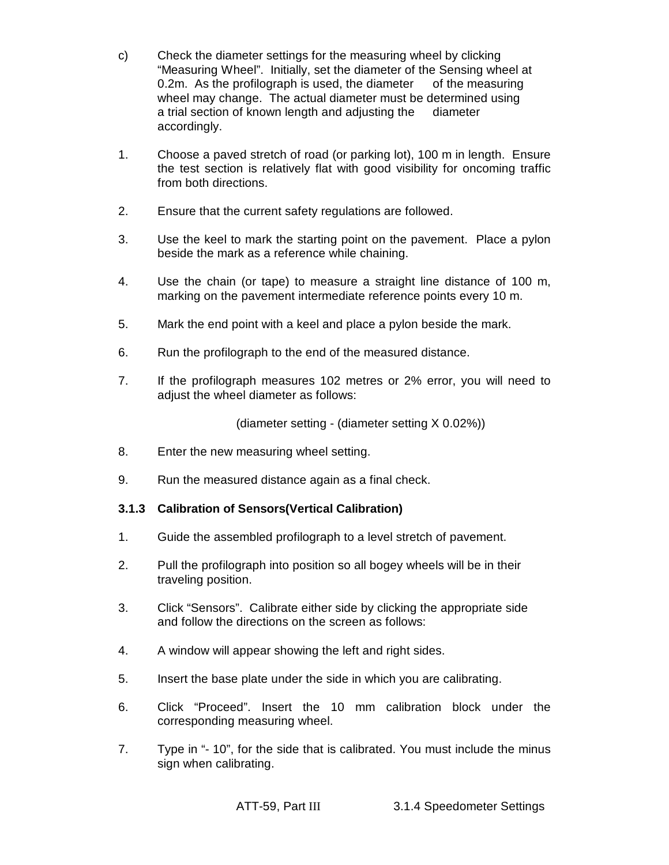- c) Check the diameter settings for the measuring wheel by clicking "Measuring Wheel". Initially, set the diameter of the Sensing wheel at 0.2m. As the profilograph is used, the diameter of the measuring wheel may change. The actual diameter must be determined using a trial section of known length and adjusting the diameter accordingly.
- 1. Choose a paved stretch of road (or parking lot), 100 m in length. Ensure the test section is relatively flat with good visibility for oncoming traffic from both directions.
- 2. Ensure that the current safety regulations are followed.
- 3. Use the keel to mark the starting point on the pavement. Place a pylon beside the mark as a reference while chaining.
- 4. Use the chain (or tape) to measure a straight line distance of 100 m, marking on the pavement intermediate reference points every 10 m.
- 5. Mark the end point with a keel and place a pylon beside the mark.
- 6. Run the profilograph to the end of the measured distance.
- 7. If the profilograph measures 102 metres or 2% error, you will need to adjust the wheel diameter as follows:

(diameter setting - (diameter setting X 0.02%))

- 8. Enter the new measuring wheel setting.
- 9. Run the measured distance again as a final check.

## **3.1.3 Calibration of Sensors(Vertical Calibration)**

- 1. Guide the assembled profilograph to a level stretch of pavement.
- 2. Pull the profilograph into position so all bogey wheels will be in their traveling position.
- 3. Click "Sensors". Calibrate either side by clicking the appropriate side and follow the directions on the screen as follows:
- 4. A window will appear showing the left and right sides.
- 5. Insert the base plate under the side in which you are calibrating.
- 6. Click "Proceed". Insert the 10 mm calibration block under the corresponding measuring wheel.
- 7. Type in "- 10", for the side that is calibrated. You must include the minus sign when calibrating.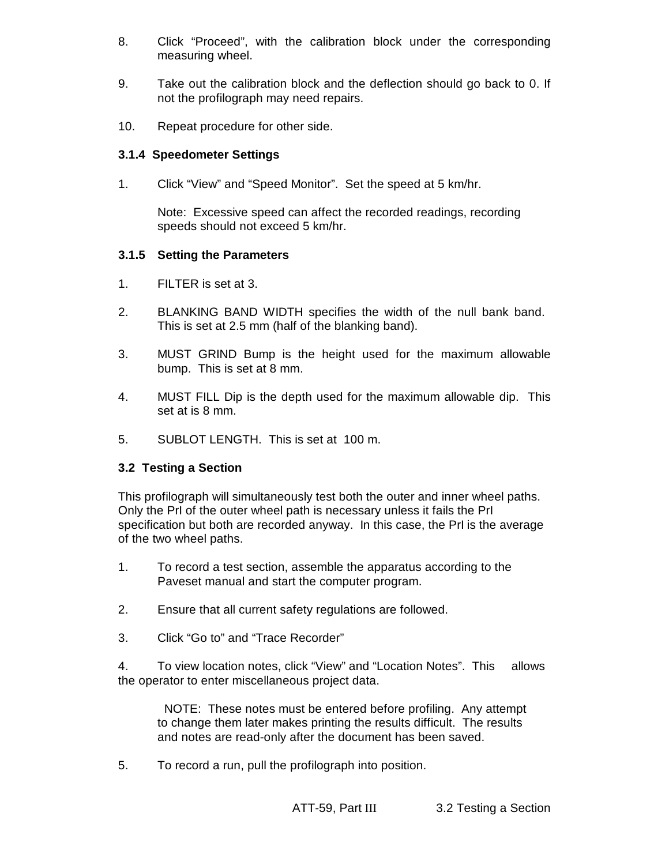- 8. Click "Proceed", with the calibration block under the corresponding measuring wheel.
- 9. Take out the calibration block and the deflection should go back to 0. If not the profilograph may need repairs.
- 10. Repeat procedure for other side.

### **3.1.4 Speedometer Settings**

1. Click "View" and "Speed Monitor". Set the speed at 5 km/hr.

Note: Excessive speed can affect the recorded readings, recording speeds should not exceed 5 km/hr.

### **3.1.5 Setting the Parameters**

- 1. FILTER is set at 3.
- 2. BLANKING BAND WIDTH specifies the width of the null bank band. This is set at 2.5 mm (half of the blanking band).
- 3. MUST GRIND Bump is the height used for the maximum allowable bump. This is set at 8 mm.
- 4. MUST FILL Dip is the depth used for the maximum allowable dip. This set at is 8 mm.
- 5. SUBLOT LENGTH. This is set at 100 m.

## **3.2 Testing a Section**

This profilograph will simultaneously test both the outer and inner wheel paths. Only the PrI of the outer wheel path is necessary unless it fails the PrI specification but both are recorded anyway. In this case, the PrI is the average of the two wheel paths.

- 1. To record a test section, assemble the apparatus according to the Paveset manual and start the computer program.
- 2. Ensure that all current safety regulations are followed.
- 3. Click "Go to" and "Trace Recorder"

4. To view location notes, click "View" and "Location Notes". This allows the operator to enter miscellaneous project data.

 NOTE: These notes must be entered before profiling. Any attempt to change them later makes printing the results difficult. The results and notes are read-only after the document has been saved.

5. To record a run, pull the profilograph into position.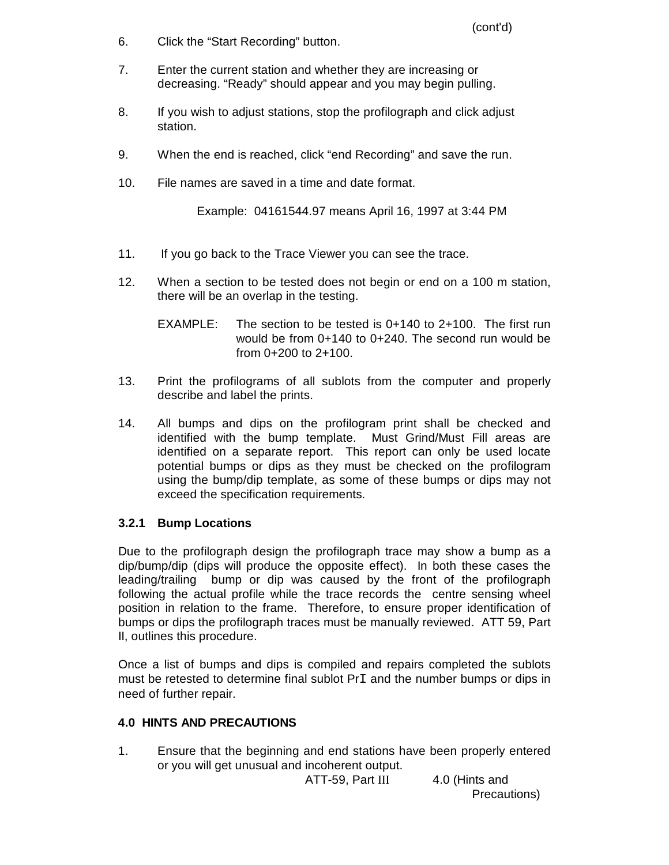- 6. Click the "Start Recording" button.
- 7. Enter the current station and whether they are increasing or decreasing. "Ready" should appear and you may begin pulling.
- 8. If you wish to adjust stations, stop the profilograph and click adjust station.
- 9. When the end is reached, click "end Recording" and save the run.
- 10. File names are saved in a time and date format.

Example: 04161544.97 means April 16, 1997 at 3:44 PM

- 11. If you go back to the Trace Viewer you can see the trace.
- 12. When a section to be tested does not begin or end on a 100 m station, there will be an overlap in the testing.
	- EXAMPLE: The section to be tested is 0+140 to 2+100. The first run would be from 0+140 to 0+240. The second run would be from 0+200 to 2+100.
- 13. Print the profilograms of all sublots from the computer and properly describe and label the prints.
- 14. All bumps and dips on the profilogram print shall be checked and identified with the bump template. Must Grind/Must Fill areas are identified on a separate report. This report can only be used locate potential bumps or dips as they must be checked on the profilogram using the bump/dip template, as some of these bumps or dips may not exceed the specification requirements.

## **3.2.1 Bump Locations**

Due to the profilograph design the profilograph trace may show a bump as a dip/bump/dip (dips will produce the opposite effect). In both these cases the leading/trailing bump or dip was caused by the front of the profilograph following the actual profile while the trace records the centre sensing wheel position in relation to the frame. Therefore, to ensure proper identification of bumps or dips the profilograph traces must be manually reviewed. ATT 59, Part II, outlines this procedure.

Once a list of bumps and dips is compiled and repairs completed the sublots must be retested to determine final sublot PrI and the number bumps or dips in need of further repair.

# **4.0 HINTS AND PRECAUTIONS**

1. Ensure that the beginning and end stations have been properly entered or you will get unusual and incoherent output.

ATT-59, Part III 4.0 (Hints and

Precautions)